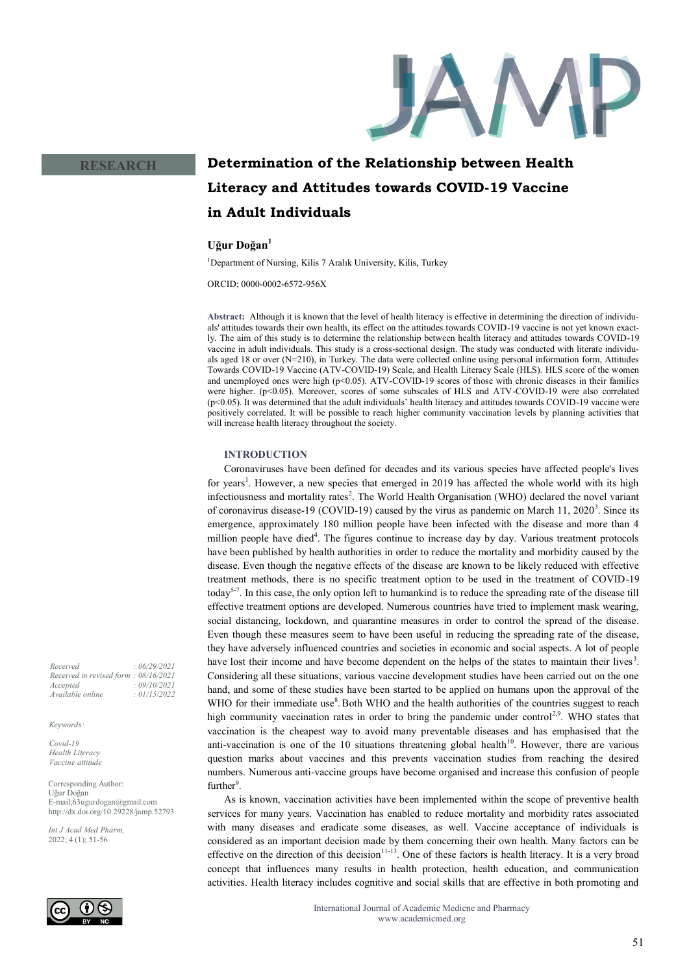

## **RESEARCH**

# **Determination of the Relationship between Health Literacy and Attitudes towards COVID-19 Vaccine in Adult Individuals**

# **Uğur Doğan<sup>1</sup>**

<sup>1</sup>Department of Nursing, Kilis 7 Aralık University, Kilis, Turkey

ORCID; 0000-0002-6572-956X

**Abstract:** Although it is known that the level of health literacy is effective in determining the direction of individuals' attitudes towards their own health, its effect on the attitudes towards COVID-19 vaccine is not yet known exactly. The aim of this study is to determine the relationship between health literacy and attitudes towards COVID-19 vaccine in adult individuals. This study is a cross-sectional design. The study was conducted with literate individuals aged 18 or over (N=210), in Turkey. The data were collected online using personal information form, Attitudes Towards COVID-19 Vaccine (ATV-COVID-19) Scale, and Health Literacy Scale (HLS). HLS score of the women and unemployed ones were high (p<0.05). ATV-COVID-19 scores of those with chronic diseases in their families were higher. (p<0.05). Moreover, scores of some subscales of HLS and ATV-COVID-19 were also correlated (p<0.05). It was determined that the adult individuals' health literacy and attitudes towards COVID-19 vaccine were positively correlated. It will be possible to reach higher community vaccination levels by planning activities that will increase health literacy throughout the society.

#### **INTRODUCTION**

Coronaviruses have been defined for decades and its various species have affected people's lives for years<sup>1</sup>. However, a new species that emerged in 2019 has affected the whole world with its high infectiousness and mortality rates<sup>2</sup>. The World Health Organisation (WHO) declared the novel variant of coronavirus disease-19 (COVID-19) caused by the virus as pandemic on March 11, 2020<sup>3</sup>. Since its emergence, approximately 180 million people have been infected with the disease and more than 4 million people have died<sup>4</sup>. The figures continue to increase day by day. Various treatment protocols have been published by health authorities in order to reduce the mortality and morbidity caused by the disease. Even though the negative effects of the disease are known to be likely reduced with effective treatment methods, there is no specific treatment option to be used in the treatment of COVID-19 today<sup>5-7</sup>. In this case, the only option left to humankind is to reduce the spreading rate of the disease till effective treatment options are developed. Numerous countries have tried to implement mask wearing, social distancing, lockdown, and quarantine measures in order to control the spread of the disease. Even though these measures seem to have been useful in reducing the spreading rate of the disease, they have adversely influenced countries and societies in economic and social aspects. A lot of people have lost their income and have become dependent on the helps of the states to maintain their lives<sup>3</sup>. Considering all these situations, various vaccine development studies have been carried out on the one hand, and some of these studies have been started to be applied on humans upon the approval of the WHO for their immediate use<sup>8</sup>. Both WHO and the health authorities of the countries suggest to reach high community vaccination rates in order to bring the pandemic under control<sup>2,9</sup>. WHO states that vaccination is the cheapest way to avoid many preventable diseases and has emphasised that the anti-vaccination is one of the 10 situations threatening global health<sup>10</sup>. However, there are various question marks about vaccines and this prevents vaccination studies from reaching the desired numbers. Numerous anti-vaccine groups have become organised and increase this confusion of people further<sup>9</sup>.

As is known, vaccination activities have been implemented within the scope of preventive health services for many years. Vaccination has enabled to reduce mortality and morbidity rates associated with many diseases and eradicate some diseases, as well. Vaccine acceptance of individuals is considered as an important decision made by them concerning their own health. Many factors can be effective on the direction of this decision<sup>11-13</sup>. One of these factors is health literacy. It is a very broad concept that influences many results in health protection, health education, and communication activities. Health literacy includes cognitive and social skills that are effective in both promoting and

> International Journal of Academic Medicne and Pharmacy www.academicmed.org

*Received : 06/29/2021 Received in revised form : 08/16/2021 Accepted : 09/10/2021 Available online : 01/15/2022*

#### *Keywords:*

*Covid-19 Health Literacy Vaccine attitude* 

Corresponding Author: Uğur Doğan E-mail;63ugurdogan@gmail.com http://dx.doi.org/10.29228/jamp.52793

*Int J Acad Med Pharm,* 2022; 4 (1); 51-56

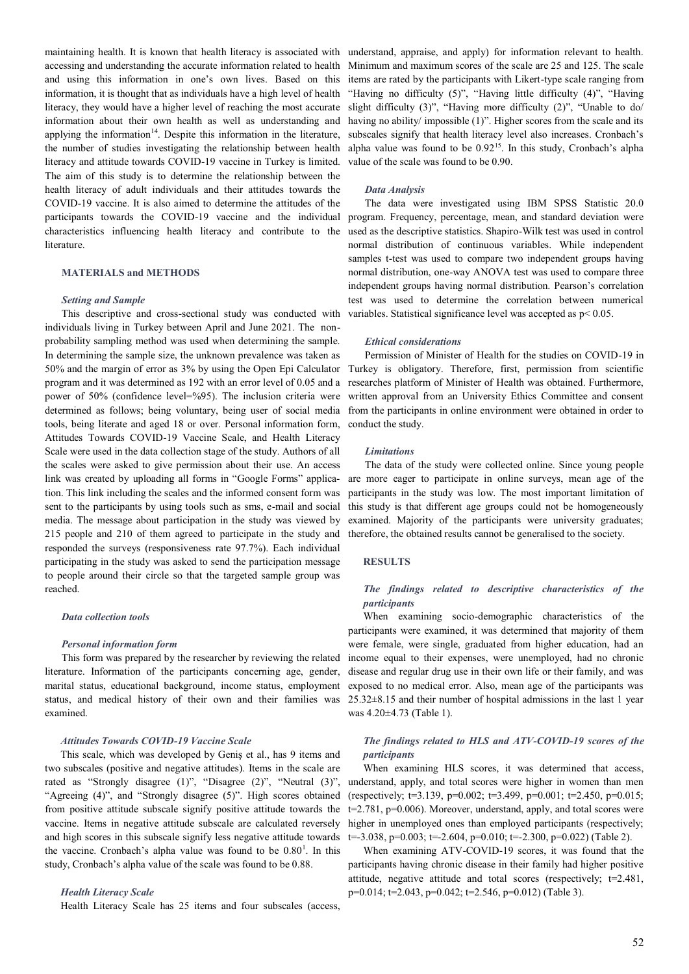maintaining health. It is known that health literacy is associated with accessing and understanding the accurate information related to health and using this information in one's own lives. Based on this information, it is thought that as individuals have a high level of health literacy, they would have a higher level of reaching the most accurate information about their own health as well as understanding and applying the information<sup>14</sup>. Despite this information in the literature, the number of studies investigating the relationship between health literacy and attitude towards COVID-19 vaccine in Turkey is limited. The aim of this study is to determine the relationship between the health literacy of adult individuals and their attitudes towards the COVID-19 vaccine. It is also aimed to determine the attitudes of the participants towards the COVID-19 vaccine and the individual characteristics influencing health literacy and contribute to the literature.

## **MATERIALS and METHODS**

#### *Setting and Sample*

This descriptive and cross-sectional study was conducted with individuals living in Turkey between April and June 2021. The nonprobability sampling method was used when determining the sample. In determining the sample size, the unknown prevalence was taken as 50% and the margin of error as 3% by using the Open Epi Calculator program and it was determined as 192 with an error level of 0.05 and a power of 50% (confidence level=%95). The inclusion criteria were determined as follows; being voluntary, being user of social media tools, being literate and aged 18 or over. Personal information form, Attitudes Towards COVID-19 Vaccine Scale, and Health Literacy Scale were used in the data collection stage of the study. Authors of all the scales were asked to give permission about their use. An access link was created by uploading all forms in "Google Forms" application. This link including the scales and the informed consent form was sent to the participants by using tools such as sms, e-mail and social media. The message about participation in the study was viewed by 215 people and 210 of them agreed to participate in the study and responded the surveys (responsiveness rate 97.7%). Each individual participating in the study was asked to send the participation message to people around their circle so that the targeted sample group was reached.

#### *Data collection tools*

#### *Personal information form*

This form was prepared by the researcher by reviewing the related literature. Information of the participants concerning age, gender, marital status, educational background, income status, employment status, and medical history of their own and their families was examined.

## *Attitudes Towards COVID-19 Vaccine Scale*

This scale, which was developed by Geniş et al., has 9 items and two subscales (positive and negative attitudes). Items in the scale are rated as "Strongly disagree (1)", "Disagree (2)", "Neutral (3)", "Agreeing (4)", and "Strongly disagree (5)". High scores obtained from positive attitude subscale signify positive attitude towards the vaccine. Items in negative attitude subscale are calculated reversely and high scores in this subscale signify less negative attitude towards the vaccine. Cronbach's alpha value was found to be  $0.80<sup>1</sup>$ . In this study, Cronbach's alpha value of the scale was found to be 0.88.

## *Health Literacy Scale*

Health Literacy Scale has 25 items and four subscales (access,

understand, appraise, and apply) for information relevant to health. Minimum and maximum scores of the scale are 25 and 125. The scale items are rated by the participants with Likert-type scale ranging from "Having no difficulty (5)", "Having little difficulty (4)", "Having slight difficulty (3)", "Having more difficulty (2)", "Unable to do/ having no ability/ impossible (1)". Higher scores from the scale and its subscales signify that health literacy level also increases. Cronbach's alpha value was found to be  $0.92<sup>15</sup>$ . In this study, Cronbach's alpha value of the scale was found to be 0.90.

#### *Data Analysis*

The data were investigated using IBM SPSS Statistic 20.0 program. Frequency, percentage, mean, and standard deviation were used as the descriptive statistics. Shapiro-Wilk test was used in control normal distribution of continuous variables. While independent samples t-test was used to compare two independent groups having normal distribution, one-way ANOVA test was used to compare three independent groups having normal distribution. Pearson's correlation test was used to determine the correlation between numerical variables. Statistical significance level was accepted as p< 0.05.

#### *Ethical considerations*

Permission of Minister of Health for the studies on COVID-19 in Turkey is obligatory. Therefore, first, permission from scientific researches platform of Minister of Health was obtained. Furthermore, written approval from an University Ethics Committee and consent from the participants in online environment were obtained in order to conduct the study.

#### *Limitations*

The data of the study were collected online. Since young people are more eager to participate in online surveys, mean age of the participants in the study was low. The most important limitation of this study is that different age groups could not be homogeneously examined. Majority of the participants were university graduates; therefore, the obtained results cannot be generalised to the society.

## **RESULTS**

## *The findings related to descriptive characteristics of the participants*

When examining socio-demographic characteristics of the participants were examined, it was determined that majority of them were female, were single, graduated from higher education, had an income equal to their expenses, were unemployed, had no chronic disease and regular drug use in their own life or their family, and was exposed to no medical error. Also, mean age of the participants was 25.32±8.15 and their number of hospital admissions in the last 1 year was 4.20±4.73 (Table 1).

## *The findings related to HLS and ATV-COVID-19 scores of the participants*

When examining HLS scores, it was determined that access, understand, apply, and total scores were higher in women than men (respectively;  $t=3.139$ ,  $p=0.002$ ;  $t=3.499$ ,  $p=0.001$ ;  $t=2.450$ ,  $p=0.015$ ; t=2.781, p=0.006). Moreover, understand, apply, and total scores were higher in unemployed ones than employed participants (respectively;  $t=-3.038$ ,  $p=0.003$ ;  $t=-2.604$ ,  $p=0.010$ ;  $t=-2.300$ ,  $p=0.022$ ) (Table 2).

When examining ATV-COVID-19 scores, it was found that the participants having chronic disease in their family had higher positive attitude, negative attitude and total scores (respectively; t=2.481, p=0.014; t=2.043, p=0.042; t=2.546, p=0.012) (Table 3).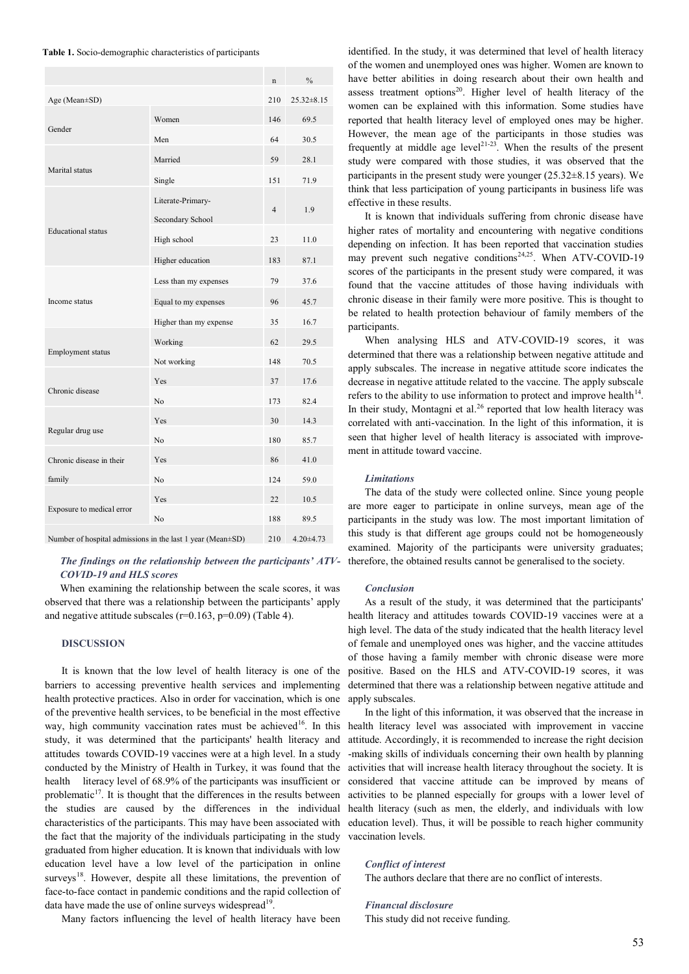**Table 1.** Socio-demographic characteristics of participants

|                                                            |                                       | n               | $\frac{0}{0}$    |
|------------------------------------------------------------|---------------------------------------|-----------------|------------------|
| Age (Mean±SD)                                              |                                       | 210             | $25.32 \pm 8.15$ |
|                                                            | Women                                 | 146             | 69.5             |
| Gender                                                     | Men                                   | 64              | 30.5             |
|                                                            | Married                               | 59              | 28.1             |
| Marital status                                             | Single                                | 151             | 71.9             |
|                                                            | Literate-Primary-<br>Secondary School | $\overline{4}$  | 1.9              |
| <b>Educational</b> status                                  | High school                           | 23              | 11.0             |
|                                                            | Higher education                      | 183             | 87.1             |
|                                                            | Less than my expenses                 | 79              | 37.6             |
| Income status                                              | Equal to my expenses                  | 96              | 45.7             |
|                                                            | Higher than my expense                | 35              | 16.7             |
|                                                            | Working                               | 62              | 29.5             |
| Employment status                                          | Not working                           | 148             | 70.5             |
|                                                            | Yes                                   | 37              | 17.6             |
| Chronic disease                                            | No                                    | 173             | 82.4             |
|                                                            | Yes                                   | 30              | 14.3             |
| Regular drug use                                           | N <sub>o</sub>                        | 180             | 85.7             |
| Chronic disease in their                                   | Yes                                   | 86              | 41.0             |
| family                                                     | N <sub>o</sub>                        | 124             | 59.0             |
|                                                            | Yes                                   | 22              | 10.5             |
| Exposure to medical error                                  | N <sub>0</sub>                        | 188             | 89.5             |
| Number of hospital admissions in the last 1 year (Mean±SD) | 210                                   | $4.20 \pm 4.73$ |                  |

## *The findings on the relationship between the participants' ATV-COVID-19 and HLS scores*

When examining the relationship between the scale scores, it was observed that there was a relationship between the participants' apply and negative attitude subscales ( $r=0.163$ ,  $p=0.09$ ) (Table 4).

#### **DISCUSSION**

It is known that the low level of health literacy is one of the barriers to accessing preventive health services and implementing health protective practices. Also in order for vaccination, which is one of the preventive health services, to be beneficial in the most effective way, high community vaccination rates must be achieved<sup>16</sup>. In this study, it was determined that the participants' health literacy and attitudes towards COVID-19 vaccines were at a high level. In a study conducted by the Ministry of Health in Turkey, it was found that the health literacy level of 68.9% of the participants was insufficient or problematic $17$ . It is thought that the differences in the results between the studies are caused by the differences in the individual characteristics of the participants. This may have been associated with the fact that the majority of the individuals participating in the study graduated from higher education. It is known that individuals with low education level have a low level of the participation in online surveys<sup>18</sup>. However, despite all these limitations, the prevention of face-to-face contact in pandemic conditions and the rapid collection of data have made the use of online surveys widespread $19$ .

Many factors influencing the level of health literacy have been

identified. In the study, it was determined that level of health literacy of the women and unemployed ones was higher. Women are known to have better abilities in doing research about their own health and assess treatment options $20$ . Higher level of health literacy of the women can be explained with this information. Some studies have reported that health literacy level of employed ones may be higher. However, the mean age of the participants in those studies was frequently at middle age level<sup>21-23</sup>. When the results of the present study were compared with those studies, it was observed that the participants in the present study were younger  $(25.32 \pm 8.15 \text{ years})$ . We think that less participation of young participants in business life was effective in these results.

It is known that individuals suffering from chronic disease have higher rates of mortality and encountering with negative conditions depending on infection. It has been reported that vaccination studies may prevent such negative conditions<sup>24,25</sup>. When ATV-COVID-19 scores of the participants in the present study were compared, it was found that the vaccine attitudes of those having individuals with chronic disease in their family were more positive. This is thought to be related to health protection behaviour of family members of the participants.

When analysing HLS and ATV-COVID-19 scores, it was determined that there was a relationship between negative attitude and apply subscales. The increase in negative attitude score indicates the decrease in negative attitude related to the vaccine. The apply subscale refers to the ability to use information to protect and improve health $14$ . In their study, Montagni et al.<sup>26</sup> reported that low health literacy was correlated with anti-vaccination. In the light of this information, it is seen that higher level of health literacy is associated with improvement in attitude toward vaccine.

#### *Limitations*

The data of the study were collected online. Since young people are more eager to participate in online surveys, mean age of the participants in the study was low. The most important limitation of this study is that different age groups could not be homogeneously examined. Majority of the participants were university graduates; therefore, the obtained results cannot be generalised to the society.

#### *Conclusion*

As a result of the study, it was determined that the participants' health literacy and attitudes towards COVID-19 vaccines were at a high level. The data of the study indicated that the health literacy level of female and unemployed ones was higher, and the vaccine attitudes of those having a family member with chronic disease were more positive. Based on the HLS and ATV-COVID-19 scores, it was determined that there was a relationship between negative attitude and apply subscales.

In the light of this information, it was observed that the increase in health literacy level was associated with improvement in vaccine attitude. Accordingly, it is recommended to increase the right decision -making skills of individuals concerning their own health by planning activities that will increase health literacy throughout the society. It is considered that vaccine attitude can be improved by means of activities to be planned especially for groups with a lower level of health literacy (such as men, the elderly, and individuals with low education level). Thus, it will be possible to reach higher community vaccination levels.

#### *Conflict of interest*

The authors declare that there are no conflict of interests.

#### *Financıal disclosure*

This study did not receive funding.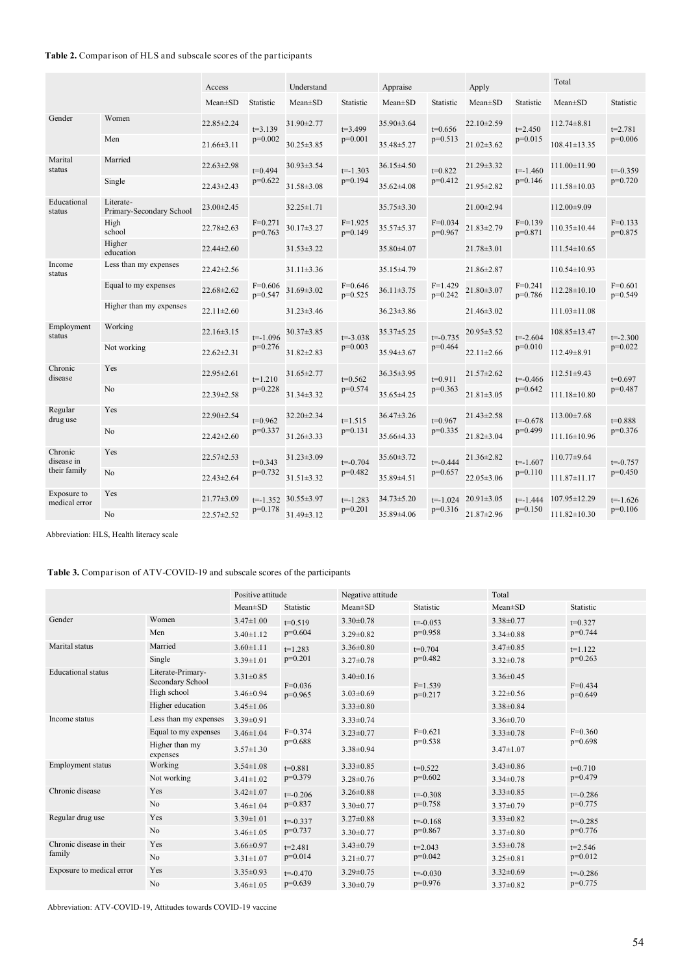# **Table 2.** Comparison of HLS and subscale scores of the participants

|                                                |                                       | Access           |                           | Understand           |                           | Appraise         |                           | Apply            |                           | Total              |                           |
|------------------------------------------------|---------------------------------------|------------------|---------------------------|----------------------|---------------------------|------------------|---------------------------|------------------|---------------------------|--------------------|---------------------------|
|                                                |                                       | $Mean \pm SD$    | Statistic                 | $Mean \pm SD$        | Statistic                 | $Mean \pm SD$    | Statistic                 | $Mean \pm SD$    | Statistic                 | $Mean \pm SD$      | Statistic                 |
| Gender                                         | Women                                 | 22.85±2.24       | $t=3.139$                 | 31.90±2.77           | $t=3.499$<br>$p=0.001$    | 35.90±3.64       | $t=0.656$<br>$p=0.513$    | 22.10±2.59       | $t=2.450$<br>$p=0.015$    | $112.74 \pm 8.81$  | $t = 2.781$<br>$p=0.006$  |
|                                                | Men                                   | $21.66 \pm 3.11$ | $p=0.002$                 | 30.25±3.85           |                           | 35.48±5.27       |                           | $21.02 \pm 3.62$ |                           | $108.41 \pm 13.35$ |                           |
| Marital<br>status                              | Married                               | 22.63±2.98       | $t=0.494$                 | 30.93±3.54           | $t = -1.303$<br>$p=0.194$ | 36.15±4.50       | $t=0.822$<br>$p=0.412$    | 21.29 ± 3.32     | $t = -1.460$<br>$p=0.146$ | $111.00 \pm 11.90$ | $t = -0.359$<br>$p=0.720$ |
|                                                | Single                                | 22.43±2.43       | $p=0.622$                 | 31.58±3.08           |                           | 35.62±4.08       |                           | 21.95±2.82       |                           | 111.58±10.03       |                           |
| Educational<br>status                          | Literate-<br>Primary-Secondary School | 23.00±2.45       |                           | 32.25±1.71           | $F=1.925$<br>$p=0.149$    | 35.75±3.30       | $F=0.034$<br>$p=0.967$    | 21.00±2.94       | $F=0.139$<br>$p=0.871$    | 112.00±9.09        | $F=0.133$<br>p=0.875      |
|                                                | High<br>school                        | 22.78±2.63       | $F=0.271$<br>$p=0.763$    | 30.17±3.27           |                           | 35.57±5.37       |                           | 21.83±2.79       |                           | 110.35±10.44       |                           |
|                                                | Higher<br>education                   | $22.44 \pm 2.60$ |                           | $31.53 \pm 3.22$     |                           | 35.80±4.07       |                           | 21.78±3.01       |                           | $111.54 \pm 10.65$ |                           |
| Income<br>status                               | Less than my expenses                 | 22.42±2.56       | $F=0.606$<br>$p=0.547$    | $31.11 \pm 3.36$     | $F=0.646$<br>$p=0.525$    | 35.15±4.79       | $F=1.429$<br>$p=0.242$    | 21.86±2.87       | $F=0.241$<br>$p=0.786$    | $110.54 \pm 10.93$ | $F=0.601$<br>$p=0.549$    |
|                                                | Equal to my expenses                  | $22.68 \pm 2.62$ |                           | 31.69±3.02           |                           | $36.11 \pm 3.75$ |                           | 21.80±3.07       |                           | 112.28±10.10       |                           |
|                                                | Higher than my expenses               | $22.11 \pm 2.60$ |                           | 31.23±3.46           |                           | $36.23 \pm 3.86$ |                           | 21.46±3.02       |                           | $111.03 \pm 11.08$ |                           |
| Employment<br>Working<br>status<br>Not working |                                       | $22.16 \pm 3.15$ | $t = -1.096$<br>$p=0.276$ | $30.37 \pm 3.85$     | $t = -3.038$<br>$p=0.003$ | 35.37±5.25       | $t = -0.735$<br>$p=0.464$ | 20.95±3.52       | $t = -2.604$<br>$p=0.010$ | $108.85 \pm 13.47$ | $t = -2.300$<br>$p=0.022$ |
|                                                |                                       | 22.62±2.31       |                           | 31.82±2.83           |                           | 35.94±3.67       |                           | $22.11 \pm 2.66$ |                           | 112.49±8.91        |                           |
| Chronic<br>Yes<br>disease<br>No                |                                       | 22.95±2.61       | $t=1.210$                 | 31.65±2.77           | $t=0.562$<br>$p=0.574$    | 36.35±3.95       | $t=0.911$<br>$p=0.363$    | 21.57±2.62       | $t = -0.466$<br>$p=0.642$ | $112.51 \pm 9.43$  | $t=0.697$<br>$p=0.487$    |
|                                                |                                       | 22.39±2.58       | $p=0.228$                 | 31.34±3.32           |                           | 35.65±4.25       |                           | $21.81 \pm 3.05$ |                           | 111.18±10.80       |                           |
| Regular<br>drug use                            | Yes                                   | 22.90±2.54       | $t=0.962$                 | 32.20±2.34           | $t=1.515$<br>$p=0.131$    | 36.47±3.26       | $t=0.967$<br>$p=0.335$    | 21.43±2.58       | $t = -0.678$<br>$p=0.499$ | $113.00 \pm 7.68$  | $t = 0.888$<br>$p=0.376$  |
|                                                | No                                    | $22.42 \pm 2.60$ | $p=0.337$                 | 31.26±3.33           |                           | 35.66±4.33       |                           | $21.82 \pm 3.04$ |                           | 111.16±10.96       |                           |
| Chronic<br>disease in<br>their family          | Yes                                   | 22.57±2.53       | $t=0.343$                 | 31.23±3.09           | $t = -0.704$<br>$p=0.482$ | 35.60±3.72       | $t = -0.444$<br>$p=0.657$ | 21.36±2.82       | $t = -1.607$<br>$p=0.110$ | $110.77 \pm 9.64$  | $t = -0.757$<br>$p=0.450$ |
|                                                | N <sub>0</sub>                        | $22.43 \pm 2.64$ | $p=0.732$                 | $31.51 \pm 3.32$     |                           | 35.89±4.51       |                           | 22.05 ± 3.06     |                           | 111.87±11.17       |                           |
| Exposure to<br>medical error                   | Yes                                   | 21.77±3.09       |                           | $t=1.352$ 30.55±3.97 | $t = -1.283$<br>$p=0.201$ | $34.73 \pm 5.20$ | $t = -1.024$<br>$p=0.316$ | $20.91 \pm 3.05$ | $t = -1.444$<br>$p=0.150$ | $107.95 \pm 12.29$ | $t = -1.626$<br>$p=0.106$ |
|                                                | No                                    | 22.57±2.52       | $p=0.178$                 | 31.49±3.12           |                           | 35.89±4.06       |                           | 21.87±2.96       |                           | $111.82 \pm 10.30$ |                           |

Abbreviation: HLS, Health literacy scale

**Table 3.** Comparison of ATV-COVID-19 and subscale scores of the participants

|                                    |                                       | Positive attitude |                           | Negative attitude |                           | Total           |              |
|------------------------------------|---------------------------------------|-------------------|---------------------------|-------------------|---------------------------|-----------------|--------------|
|                                    |                                       | $Mean \pm SD$     | Statistic                 | $Mean \pm SD$     | Statistic                 | $Mean \pm SD$   | Statistic    |
| Gender                             | Women                                 | $3.47 \pm 1.00$   | $t=0.519$<br>$p=0.604$    | $3.30 \pm 0.78$   | $t = -0.053$<br>$p=0.958$ | $3.38 \pm 0.77$ | $t=0.327$    |
|                                    | Men                                   | $3.40 \pm 1.12$   |                           | $3.29 \pm 0.82$   |                           | $3.34 \pm 0.88$ | $p=0.744$    |
| Marital status                     | Married                               | $3.60 \pm 1.11$   | $t=1.283$<br>$p=0.201$    | $3.36 \pm 0.80$   | $t=0.704$<br>$p=0.482$    | $3.47 \pm 0.85$ | $t=1.122$    |
|                                    | Single                                | $3.39 \pm 1.01$   |                           | $3.27 \pm 0.78$   |                           | $3.32 \pm 0.78$ | $p=0.263$    |
| <b>Educational</b> status          | Literate-Primary-<br>Secondary School | $3.31 \pm 0.85$   | $F=0.036$<br>$p=0.965$    | $3.40\pm0.16$     | $F=1.539$<br>$p=0.217$    | $3.36\pm0.45$   | $F=0.434$    |
|                                    | High school                           | $3.46 \pm 0.94$   |                           | $3.03 \pm 0.69$   |                           | $3.22 \pm 0.56$ | $p=0.649$    |
|                                    | Higher education                      | $3.45 \pm 1.06$   |                           | $3.33 \pm 0.80$   |                           | $3.38 \pm 0.84$ |              |
| Income status                      | Less than my expenses                 | $3.39 \pm 0.91$   | $F=0.374$<br>$p=0.688$    | $3.33 \pm 0.74$   | $F=0.621$<br>$p=0.538$    | $3.36 \pm 0.70$ |              |
|                                    | Equal to my expenses                  | $3.46 \pm 1.04$   |                           | $3.23 \pm 0.77$   |                           | $3.33 \pm 0.78$ | $F=0.360$    |
|                                    | Higher than my<br>expenses            | $3.57 \pm 1.30$   |                           | $3.38 \pm 0.94$   |                           | $3.47 \pm 1.07$ | $p=0.698$    |
| <b>Employment status</b>           | Working                               | $3.54 \pm 1.08$   | $t=0.881$<br>$p=0.379$    | $3.33 \pm 0.85$   | $t=0.522$<br>$p=0.602$    | $3.43 \pm 0.86$ | $t=0.710$    |
|                                    | Not working                           | $3.41 \pm 1.02$   |                           | $3.28 \pm 0.76$   |                           | $3.34 \pm 0.78$ | $p=0.479$    |
| Chronic disease                    | Yes                                   | $3.42 \pm 1.07$   | $t = -0.206$<br>$p=0.837$ | $3.26 \pm 0.88$   | $t = -0.308$<br>$p=0.758$ | $3.33 \pm 0.85$ | $t = -0.286$ |
|                                    | N <sub>o</sub>                        | $3.46 \pm 1.04$   |                           | $3.30 \pm 0.77$   |                           | $3.37 \pm 0.79$ | $p=0.775$    |
| Regular drug use                   | Yes                                   | $3.39 \pm 1.01$   | $t = -0.337$<br>$p=0.737$ | $3.27 \pm 0.88$   | $t = -0.168$<br>$p=0.867$ | $3.33 \pm 0.82$ | $t = -0.285$ |
|                                    | No                                    | $3.46 \pm 1.05$   |                           | $3.30\pm0.77$     |                           | $3.37 \pm 0.80$ | $p=0.776$    |
| Chronic disease in their<br>family | Yes                                   | $3.66 \pm 0.97$   | $t = 2.481$               | $3.43 \pm 0.79$   | $t=2.043$                 | $3.53 \pm 0.78$ | $t=2.546$    |
|                                    | N <sub>o</sub>                        | $3.31 \pm 1.07$   | $p=0.014$                 | $3.21 \pm 0.77$   | $p=0.042$                 | $3.25 \pm 0.81$ | $p=0.012$    |
| Exposure to medical error          | Yes                                   | $3.35 \pm 0.93$   | $t = -0.470$<br>$p=0.639$ | $3.29 \pm 0.75$   | $t = -0.030$<br>$p=0.976$ | $3.32 \pm 0.69$ | $t = -0.286$ |
|                                    | N <sub>o</sub>                        | $3.46 \pm 1.05$   |                           | $3.30\pm0.79$     |                           | $3.37 \pm 0.82$ | $p=0.775$    |

Abbreviation: ATV-COVID-19, Attitudes towards COVID-19 vaccine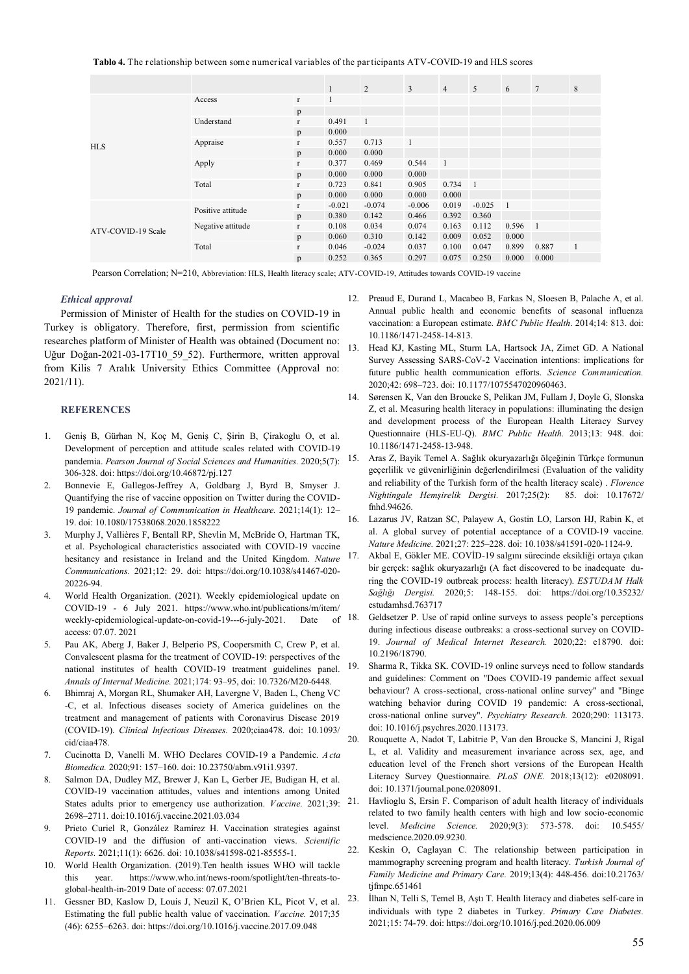**Tablo 4.** The relationship between some numerical variables of the par ticipants ATV-COVID-19 and HLS scores

|                    |                   |              | $\mathbf{1}$ | 2            | 3        | $\overline{4}$ | 5              | 6     | $7\phantom{.0}$ | 8 |
|--------------------|-------------------|--------------|--------------|--------------|----------|----------------|----------------|-------|-----------------|---|
| <b>HLS</b>         | Access            | $\mathbf{r}$ | 1            |              |          |                |                |       |                 |   |
|                    |                   | p            |              |              |          |                |                |       |                 |   |
|                    | Understand        | $\mathbf{r}$ | 0.491        | $\mathbf{1}$ |          |                |                |       |                 |   |
|                    |                   | p            | 0.000        |              |          |                |                |       |                 |   |
|                    | Appraise          | $\mathbf{r}$ | 0.557        | 0.713        |          |                |                |       |                 |   |
|                    |                   | p            | 0.000        | 0.000        |          |                |                |       |                 |   |
|                    | Apply             | $\mathbf{r}$ | 0.377        | 0.469        | 0.544    | -1             |                |       |                 |   |
|                    |                   | p            | 0.000        | 0.000        | 0.000    |                |                |       |                 |   |
|                    | Total             | $\mathbf{r}$ | 0.723        | 0.841        | 0.905    | 0.734          | $\overline{1}$ |       |                 |   |
|                    |                   | p            | 0.000        | 0.000        | 0.000    | 0.000          |                |       |                 |   |
| ATV-COVID-19 Scale | Positive attitude | $\mathbf{r}$ | $-0.021$     | $-0.074$     | $-0.006$ | 0.019          | $-0.025$       | -1    |                 |   |
|                    |                   | p            | 0.380        | 0.142        | 0.466    | 0.392          | 0.360          |       |                 |   |
|                    | Negative attitude | $\Gamma$     | 0.108        | 0.034        | 0.074    | 0.163          | 0.112          | 0.596 | $\blacksquare$  |   |
|                    |                   | p            | 0.060        | 0.310        | 0.142    | 0.009          | 0.052          | 0.000 |                 |   |
|                    | Total             | $\mathbf{r}$ | 0.046        | $-0.024$     | 0.037    | 0.100          | 0.047          | 0.899 | 0.887           | 1 |
|                    |                   | p            | 0.252        | 0.365        | 0.297    | 0.075          | 0.250          | 0.000 | 0.000           |   |

Pearson Correlation; N=210, Abbreviation: HLS, Health literacy scale; ATV-COVID-19, Attitudes towards COVID-19 vaccine

## *Ethical approval*

Permission of Minister of Health for the studies on COVID-19 in Turkey is obligatory. Therefore, first, permission from scientific researches platform of Minister of Health was obtained (Document no: Uğur Doğan-2021-03-17T10\_59\_52). Furthermore, written approval from Kilis 7 Aralık University Ethics Committee (Approval no: 2021/11).

## **REFERENCES**

- 1. Geniş B, Gürhan N, Koç M, Geniş C, Şirin B, Çirakoglu O, et al. Development of perception and attitude scales related with COVID-19 pandemia. *Pearson Journal of Social Sciences and Humanities.* 2020;5(7): 306-328. doi: https://doi.org/10.46872/pj.127
- 2. Bonnevie E, Gallegos-Jeffrey A, Goldbarg J, Byrd B, Smyser J. Quantifying the rise of vaccine opposition on Twitter during the COVID-19 pandemic. *Journal of Communication in Healthcare.* 2021;14(1): 12– 19. doi: 10.1080/17538068.2020.1858222
- 3. Murphy J, Vallières F, Bentall RP, Shevlin M, McBride O, Hartman TK, et al. Psychological characteristics associated with COVID-19 vaccine hesitancy and resistance in Ireland and the United Kingdom. *Nature Communications.* 2021;12: 29. doi: https://doi.org/10.1038/s41467-020- 20226-94.
- 4. World Health Organization. (2021). Weekly epidemiological update on COVID-19 - 6 July 2021. https://www.who.int/publications/m/item/ weekly-epidemiological-update-on-covid-19---6-july-2021. Date of access: 07.07. 2021
- 5. Pau AK, Aberg J, Baker J, Belperio PS, Coopersmith C, Crew P, et al. Convalescent plasma for the treatment of COVID-19: perspectives of the national institutes of health COVID-19 treatment guidelines panel. *Annals of Internal Medicine.* 2021;174: 93–95, doi: 10.7326/M20-6448.
- 6. Bhimraj A, Morgan RL, Shumaker AH, Lavergne V, Baden L, Cheng VC -C, et al. Infectious diseases society of America guidelines on the treatment and management of patients with Coronavirus Disease 2019 (COVID-19). *Clinical Infectious Diseases.* 2020;ciaa478. doi: 10.1093/ cid/ciaa478.
- 7. Cucinotta D, Vanelli M. WHO Declares COVID-19 a Pandemic. *A cta Biomedica.* 2020;91: 157–160. doi: 10.23750/abm.v91i1.9397.
- 8. Salmon DA, Dudley MZ, Brewer J, Kan L, Gerber JE, Budigan H, et al. COVID-19 vaccination attitudes, values and intentions among United States adults prior to emergency use authorization. *Vaccine.* 2021;39: 2698–2711. doi:10.1016/j.vaccine.2021.03.034
- 9. Prieto Curiel R, González Ramírez H. Vaccination strategies against COVID-19 and the diffusion of anti-vaccination views. *Scientific Reports.* 2021;11(1): 6626. doi: 10.1038/s41598-021-85555-1.
- 10. World Health Organization. (2019).Ten health issues WHO will tackle this year. https://www.who.int/news-room/spotlight/ten-threats-toglobal-health-in-2019 Date of access: 07.07.2021
- 11. Gessner BD, Kaslow D, Louis J, Neuzil K, O'Brien KL, Picot V, et al. Estimating the full public health value of vaccination. *Vaccine.* 2017;35 (46): 6255–6263. doi: https://doi.org/10.1016/j.vaccine.2017.09.048
- 12. Preaud E, Durand L, Macabeo B, Farkas N, Sloesen B, Palache A, et al. Annual public health and economic benefits of seasonal influenza vaccination: a European estimate. *BMC Public Health*. 2014;14: 813. doi: 10.1186/1471-2458-14-813.
- 13. Head KJ, Kasting ML, Sturm LA, Hartsock JA, Zimet GD. A National Survey Assessing SARS-CoV-2 Vaccination intentions: implications for future public health communication efforts. *Science Communication.* 2020;42: 698–723. doi: 10.1177/1075547020960463.
- 14. Sørensen K, Van den Broucke S, Pelikan JM, Fullam J, Doyle G, Slonska Z, et al. Measuring health literacy in populations: illuminating the design and development process of the European Health Literacy Survey Questionnaire (HLS-EU-Q). *BMC Public Health.* 2013;13: 948. doi: 10.1186/1471-2458-13-948.
- 15. Aras Z, Bayik Temel A. Sağlık okuryazarlığı ölçeğinin Türkçe formunun geçerlilik ve güvenirliğinin değerlendirilmesi (Evaluation of the validity and reliability of the Turkish form of the health literacy scale) . *Florence Nightingale Hemşirelik Dergisi.* 2017;25(2): 85. doi: 10.17672/ fnhd.94626.
- 16. Lazarus JV, Ratzan SC, Palayew A, Gostin LO, Larson HJ, Rabin K, et al. A global survey of potential acceptance of a COVID-19 vaccine. *Nature Medicine.* 2021;27: 225–228. doi: 10.1038/s41591-020-1124-9.
- 17. Akbal E, Gökler ME. COVİD-19 salgını sürecinde eksikliği ortaya çıkan bir gerçek: sağlık okuryazarlığı (A fact discovered to be inadequate during the COVID-19 outbreak process: health literacy). *ESTUDAM Halk Sağlığı Dergisi.* 2020;5: 148-155. doi: https://doi.org/10.35232/ estudamhsd.763717
- 18. Geldsetzer P. Use of rapid online surveys to assess people's perceptions during infectious disease outbreaks: a cross-sectional survey on COVID-19. *Journal of Medical Internet Research.* 2020;22: e18790. doi: 10.2196/18790.
- 19. Sharma R, Tikka SK. COVID-19 online surveys need to follow standards and guidelines: Comment on "Does COVID-19 pandemic affect sexual behaviour? A cross-sectional, cross-national online survey" and "Binge watching behavior during COVID 19 pandemic: A cross-sectional, cross-national online survey". *Psychiatry Research.* 2020;290: 113173. doi: 10.1016/j.psychres.2020.113173.
- 20. Rouquette A, Nadot T, Labitrie P, Van den Broucke S, Mancini J, Rigal L, et al. Validity and measurement invariance across sex, age, and education level of the French short versions of the European Health Literacy Survey Questionnaire. *PLoS ONE.* 2018;13(12): e0208091. doi: 10.1371/journal.pone.0208091.
- 21. Havlioglu S, Ersin F. Comparison of adult health literacy of individuals related to two family health centers with high and low socio-economic level. *Medicine Science.* 2020;9(3): 573-578. doi: 10.5455/ medscience.2020.09.9230.
- 22. Keskin O, Caglayan C. The relationship between participation in mammography screening program and health literacy. *Turkish Journal of Family Medicine and Primary Care.* 2019;13(4): 448-456. doi:10.21763/ tjfmpc.651461
- 23. İlhan N, Telli S, Temel B, Aştı T. Health literacy and diabetes self-care in individuals with type 2 diabetes in Turkey. *Primary Care Diabetes.* 2021;15: 74-79. doi: https://doi.org/10.1016/j.pcd.2020.06.009